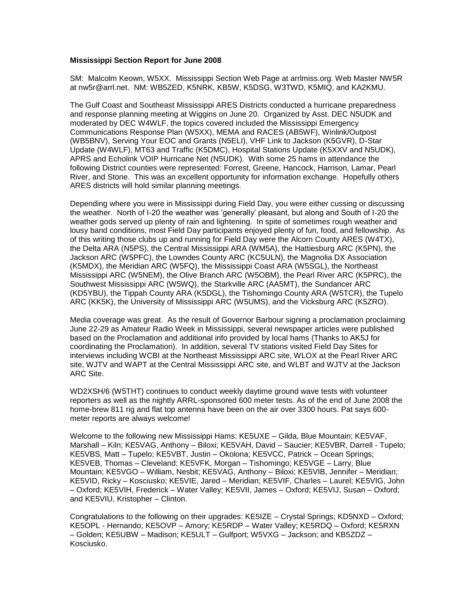## **Mississippi Section Report for June 2008**

SM: Malcolm Keown, W5XX. Mississippi Section Web Page at arrlmiss.org. Web Master NW5R at nw5r@arrl.net. NM: WB5ZED, K5NRK, KB5W, K5DSG, W3TWD, K5MIQ, and KA2KMU.

The Gulf Coast and Southeast Mississippi ARES Districts conducted a hurricane preparedness and response planning meeting at Wiggins on June 20. Organized by Asst. DEC N5UDK and moderated by DEC W4WLF, the topics covered included the Mississippi Emergency Communications Response Plan (W5XX), MEMA and RACES (AB5WF), Winlink/Outpost (WB5BNV), Serving Your EOC and Grants (N5ELI), VHF Link to Jackson (K5GVR), D-Star Update (W4WLF), MT63 and Traffic (K5DMC), Hospital Stations Update (K5XXV and N5UDK), APRS and Echolink VOIP Hurricane Net (N5UDK). With some 25 hams in attendance the following District counties were represented: Forrest, Greene, Hancock, Harrison, Lamar, Pearl River, and Stone. This was an excellent opportunity for information exchange. Hopefully others ARES districts will hold similar planning meetings.

Depending where you were in Mississippi during Field Day, you were either cussing or discussing the weather. North of I-20 the weather was 'generally' pleasant, but along and South of I-20 the weather gods served up plenty of rain and lightening. In spite of sometimes rough weather and lousy band conditions, most Field Day participants enjoyed plenty of fun, food, and fellowship. As of this writing those clubs up and running for Field Day were the Alcorn County ARES (W4TX), the Delta ARA (N5PS), the Central Mississippi ARA (WM5A), the Hattiesburg ARC (K5PN), the Jackson ARC (W5PFC), the Lowndes County ARC (KC5ULN), the Magnolia DX Association (K5MDX), the Meridian ARC (W5FQ), the Mississippi Coast ARA (W5SGL), the Northeast Mississippi ARC (W5NEM), the Olive Branch ARC (W5OBM), the Pearl River ARC (K5PRC), the Southwest Mississippi ARC (W5WQ), the Starkville ARC (AA5MT), the Sundancer ARC (KD5YBU), the Tippah County ARA (K5DGL), the Tishomingo County ARA (W5TCR), the Tupelo ARC (KK5K), the University of Mississippi ARC (W5UMS), and the Vicksburg ARC (K5ZRO).

Media coverage was great. As the result of Governor Barbour signing a proclamation proclaiming June 22-29 as Amateur Radio Week in Mississippi, several newspaper articles were published based on the Proclamation and additional info provided by local hams (Thanks to AK5J for coordinating the Proclamation). In addition, several TV stations visited Field Day Sites for interviews including WCBI at the Northeast Mississippi ARC site, WLOX at the Pearl River ARC site, WJTV and WAPT at the Central Mississippi ARC site, and WLBT and WJTV at the Jackson ARC Site.

WD2XSH/6 (W5THT) continues to conduct weekly daytime ground wave tests with volunteer reporters as well as the nightly ARRL-sponsored 600 meter tests. As of the end of June 2008 the home-brew 811 rig and flat top antenna have been on the air over 3300 hours. Pat says 600 meter reports are always welcome!

Welcome to the following new Mississippi Hams: KE5UXE – Gilda, Blue Mountain; KE5VAF, Marshall – Kiln; KE5VAG, Anthony – Biloxi; KE5VAH, David – Saucier; KE5VBR, Darrell - Tupelo; KE5VBS, Matt – Tupelo; KE5VBT, Justin – Okolona; KE5VCC, Patrick – Ocean Springs; KE5VEB, Thomas – Cleveland; KE5VFK, Morgan – Tishomingo; KE5VGE – Larry, Blue Mountain; KE5VGO – William, Nesbit; KE5VAG, Anthony – Biloxi; KE5VIB, Jennifer – Meridian; KE5VID, Ricky – Kosciusko; KE5VIE, Jared – Meridian; KE5VIF, Charles – Laurel; KE5VIG, John – Oxford; KE5VIH, Frederick – Water Valley; KE5VII, James – Oxford; KE5VIJ, Susan – Oxford; and KE5VIU, Kristopher – Clinton.

Congratulations to the following on their upgrades: KE5IZE – Crystal Springs; KD5NXD – Oxford; KE5OPL - Hernando; KE5OVP – Amory; KE5RDP – Water Valley; KE5RDQ – Oxford; KE5RXN – Golden; KE5UBW – Madison; KE5ULT – Gulfport; W5VXG – Jackson; and KB5ZDZ – Kosciusko.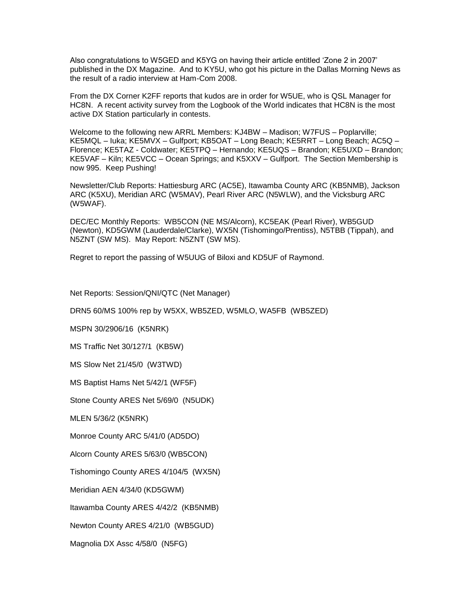Also congratulations to W5GED and K5YG on having their article entitled 'Zone 2 in 2007' published in the DX Magazine. And to KY5U, who got his picture in the Dallas Morning News as the result of a radio interview at Ham-Com 2008.

From the DX Corner K2FF reports that kudos are in order for W5UE, who is QSL Manager for HC8N. A recent activity survey from the Logbook of the World indicates that HC8N is the most active DX Station particularly in contests.

Welcome to the following new ARRL Members: KJ4BW – Madison; W7FUS – Poplarville; KE5MQL – Iuka; KE5MVX – Gulfport; KB5OAT – Long Beach; KE5RRT – Long Beach; AC5Q – Florence; KE5TAZ - Coldwater; KE5TPQ – Hernando; KE5UQS – Brandon; KE5UXD – Brandon; KE5VAF – Kiln; KE5VCC – Ocean Springs; and K5XXV – Gulfport. The Section Membership is now 995. Keep Pushing!

Newsletter/Club Reports: Hattiesburg ARC (AC5E), Itawamba County ARC (KB5NMB), Jackson ARC (K5XU), Meridian ARC (W5MAV), Pearl River ARC (N5WLW), and the Vicksburg ARC (W5WAF).

DEC/EC Monthly Reports: WB5CON (NE MS/Alcorn), KC5EAK (Pearl River), WB5GUD (Newton), KD5GWM (Lauderdale/Clarke), WX5N (Tishomingo/Prentiss), N5TBB (Tippah), and N5ZNT (SW MS). May Report: N5ZNT (SW MS).

Regret to report the passing of W5UUG of Biloxi and KD5UF of Raymond.

Net Reports: Session/QNI/QTC (Net Manager)

DRN5 60/MS 100% rep by W5XX, WB5ZED, W5MLO, WA5FB (WB5ZED)

MSPN 30/2906/16 (K5NRK)

MS Traffic Net 30/127/1 (KB5W)

MS Slow Net 21/45/0 (W3TWD)

MS Baptist Hams Net 5/42/1 (WF5F)

Stone County ARES Net 5/69/0 (N5UDK)

MLEN 5/36/2 (K5NRK)

Monroe County ARC 5/41/0 (AD5DO)

Alcorn County ARES 5/63/0 (WB5CON)

Tishomingo County ARES 4/104/5 (WX5N)

Meridian AEN 4/34/0 (KD5GWM)

Itawamba County ARES 4/42/2 (KB5NMB)

Newton County ARES 4/21/0 (WB5GUD)

Magnolia DX Assc 4/58/0 (N5FG)